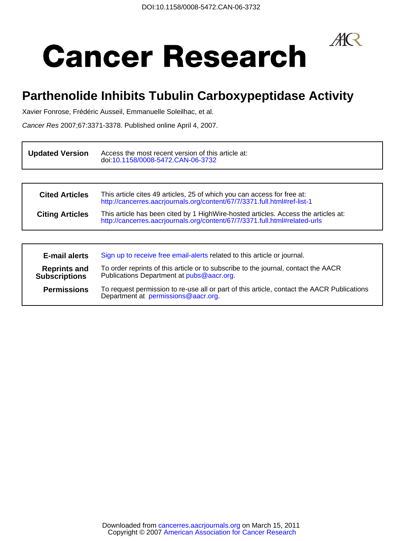$A\mathsf{R}$ 

# **Cancer Research**

## **Parthenolide Inhibits Tubulin Carboxypeptidase Activity**

Xavier Fonrose, Frédéric Ausseil, Emmanuelle Soleilhac, et al.

Cancer Res 2007;67:3371-3378. Published online April 4, 2007.

| <b>Updated Version</b> | Access the most recent version of this article at:<br>doi:10.1158/0008-5472.CAN-06-3732                                                                          |
|------------------------|------------------------------------------------------------------------------------------------------------------------------------------------------------------|
|                        |                                                                                                                                                                  |
| <b>Cited Articles</b>  | This article cites 49 articles, 25 of which you can access for free at:<br>http://cancerres.aacrjournals.org/content/67/7/3371.full.html#ref-list-1              |
| <b>Citing Articles</b> | This article has been cited by 1 HighWire-hosted articles. Access the articles at:<br>http://cancerres.aacrjournals.org/content/67/7/3371.full.html#related-urls |
|                        |                                                                                                                                                                  |

| <b>E-mail alerts</b>                        | Sign up to receive free email-alerts related to this article or journal.                                                         |
|---------------------------------------------|----------------------------------------------------------------------------------------------------------------------------------|
| <b>Reprints and</b><br><b>Subscriptions</b> | To order reprints of this article or to subscribe to the journal, contact the AACR<br>Publications Department at pubs@aacr.org.  |
| <b>Permissions</b>                          | To request permission to re-use all or part of this article, contact the AACR Publications<br>Department at permissions@aacr.org |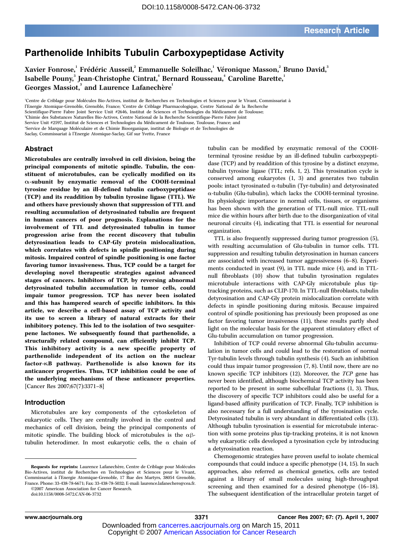### Parthenolide Inhibits Tubulin Carboxypeptidase Activity

Xavier Fonrose, $^{\rm l}$  Frédéric Ausseil, $^{\rm 2}$  Emmanuelle Soleilhac, $^{\rm l}$  Véronique Masson, $^{\rm 2}$  Bruno David, $^{\rm 3}$ Isabelle Pouny,<sup>3</sup> Jean-Christophe Cintrat,<sup>4</sup> Bernard Rousseau,<sup>4</sup> Caroline Barette,<sup>1</sup> Georges Massiot,<sup>3</sup> and Laurence Lafanechère<sup>1</sup>

'Centre de Criblage pour Molécules Bio-Actives, institut de Recherches en Technologies et Sciences pour le Vivant, Commissariat à

l'Energie Atomique-Grenoble, Grenoble, France; <sup>2</sup> Centre de Criblage Pharmacologique, Centre National de la Recherche

Scientifique-Pierre Fabre Joint Service Unit #2646, Institut de Sciences et Technologies du Médicament de Toulouse;

3 Chimie des Substances Naturelles Bio-Actives, Centre National de la Recherche Scientifique-Pierre Fabre Joint Service Unit #2597, Institut de Sciences et Technologies du Médicament de Toulouse, Toulouse, France; and

'Service de Marquage Moléculaire et de Chimie Bioorganique, institut de Biologie et de Technologies de

Saclay, Commissariat à l'Energie Atomique-Saclay, Gif sur Yvette, France

#### Abstract

Microtubules are centrally involved in cell division, being the principal components of mitotic spindle. Tubulin, the constituent of microtubules, can be cyclically modified on its  $\alpha$ -subunit by enzymatic removal of the COOH-terminal tyrosine residue by an ill-defined tubulin carboxypeptidase (TCP) and its readdition by tubulin tyrosine ligase (TTL). We and others have previously shown that suppression of TTL and resulting accumulation of detyrosinated tubulin are frequent in human cancers of poor prognosis. Explanations for the involvement of TTL and detyrosinated tubulin in tumor progression arise from the recent discovery that tubulin detyrosination leads to CAP-Gly protein mislocalization, which correlates with defects in spindle positioning during mitosis. Impaired control of spindle positioning is one factor favoring tumor invasiveness. Thus, TCP could be a target for developing novel therapeutic strategies against advanced stages of cancers. Inhibitors of TCP, by reversing abnormal detyrosinated tubulin accumulation in tumor cells, could impair tumor progression. TCP has never been isolated and this has hampered search of specific inhibitors. In this article, we describe a cell-based assay of TCP activity and its use to screen a library of natural extracts for their inhibitory potency. This led to the isolation of two sesquiterpene lactones. We subsequently found that parthenolide, a structurally related compound, can efficiently inhibit TCP. This inhibitory activity is a new specific property of parthenolide independent of its action on the nuclear factor-KB pathway. Parthenolide is also known for its anticancer properties. Thus, TCP inhibition could be one of the underlying mechanisms of these anticancer properties. [Cancer Res 2007;67(7):3371–8]

#### Introduction

Microtubules are key components of the cytoskeleton of eukaryotic cells. They are centrally involved in the control and mechanics of cell division, being the principal components of mitotic spindle. The building block of microtubules is the  $\alpha\beta$ tubulin heterodimer. In most eukaryotic cells, the  $\alpha$  chain of

©2007 American Association for Cancer Research.

tubulin can be modified by enzymatic removal of the COOHterminal tyrosine residue by an ill-defined tubulin carboxypeptidase (TCP) and by readdition of this tyrosine by a distinct enzyme, tubulin tyrosine ligase (TTL; refs. 1, 2). This tyrosination cycle is conserved among eukaryotes (1, 3) and generates two tubulin pools: intact tyrosinated  $\alpha$ -tubulin (Tyr-tubulin) and detyrosinated a-tubulin (Glu-tubulin), which lacks the COOH-terminal tyrosine. Its physiologic importance in normal cells, tissues, or organisms has been shown with the generation of TTL-null mice. TTL-null mice die within hours after birth due to the disorganization of vital neuronal circuits (4), indicating that TTL is essential for neuronal organization.

TTL is also frequently suppressed during tumor progression (5), with resulting accumulation of Glu-tubulin in tumor cells. TTL suppression and resulting tubulin detyrosination in human cancers are associated with increased tumor aggressiveness (6–8). Experiments conducted in yeast (9), in TTL nude mice (4), and in TTLnull fibroblasts (10) show that tubulin tyrosination regulates microtubule interactions with CAP-Gly microtubule plus tiptracking proteins, such as CLIP-170. In TTL-null fibroblasts, tubulin detyrosination and CAP-Gly protein mislocalization correlate with defects in spindle positioning during mitosis. Because impaired control of spindle positioning has previously been proposed as one factor favoring tumor invasiveness (11), these results partly shed light on the molecular basis for the apparent stimulatory effect of Glu-tubulin accumulation on tumor progression.

Inhibition of TCP could reverse abnormal Glu-tubulin accumulation in tumor cells and could lead to the restoration of normal Tyr-tubulin levels through tubulin synthesis (4). Such an inhibition could thus impair tumor progression (7, 8). Until now, there are no known specific TCP inhibitors (12). Moreover, the TCP gene has never been identified, although biochemical TCP activity has been reported to be present in some subcellular fractions (1, 3). Thus, the discovery of specific TCP inhibitors could also be useful for a ligand-based affinity purification of TCP. Finally, TCP inhibition is also necessary for a full understanding of the tyrosination cycle. Detyrosinated tubulin is very abundant in differentiated cells (13). Although tubulin tyrosination is essential for microtubule interaction with some proteins plus tip-tracking proteins, it is not known why eukaryotic cells developed a tyrosination cycle by introducing a detyrosination reaction.

Chemogenomic strategies have proven useful to isolate chemical compounds that could induce a specific phenotype (14, 15). In such approaches, also referred as chemical genetics, cells are tested against a library of small molecules using high-throughput screening and then examined for a desired phenotype (16–18). The subsequent identification of the intracellular protein target of

Requests for reprints: Laurence Lafanechère, Centre de Criblage pour Molécules Bio-Actives, institut de Recherches en Technologies et Sciences pour le Vivant, Commissariat à l'Energie Atomique-Grenoble, 17 Rue des Martyrs, 38054 Grenoble, France. Phone: 33-438-78-6671; Fax: 33-438-78-5032; E-mail: laurence.lafanechere@cea.fr.

doi:10.1158/0008-5472.CAN-06-3732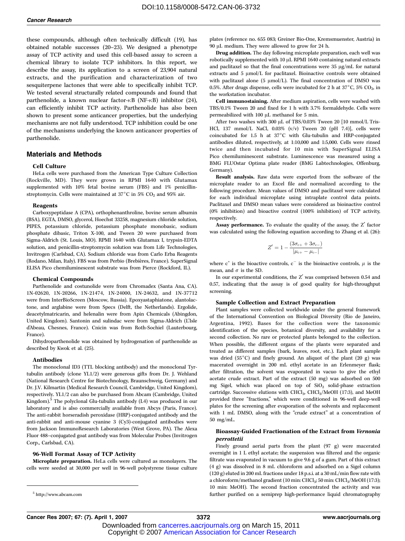these compounds, although often technically difficult (19), has obtained notable successes (20–23). We designed a phenotype assay of TCP activity and used this cell-based assay to screen a chemical library to isolate TCP inhibitors. In this report, we describe the assay, its application to a screen of 23,904 natural extracts, and the purification and characterization of two sesquiterpene lactones that were able to specifically inhibit TCP. We tested several structurally related compounds and found that parthenolide, a known nuclear factor- $\kappa$ B (NF- $\kappa$ B) inhibitor (24), can efficiently inhibit TCP activity. Parthenolide has also been shown to present some anticancer properties, but the underlying mechanisms are not fully understood. TCP inhibition could be one of the mechanisms underlying the known anticancer properties of parthenolide.

#### Materials and Methods

#### Cell Culture

HeLa cells were purchased from the American Type Culture Collection (Rockville, MD). They were grown in RPMI 1640 with Glutamax supplemented with 10% fetal bovine serum (FBS) and 1% penicillinstreptomycin. Cells were maintained at  $37^{\circ}$ C in 5% CO<sub>2</sub> and 95% air.

#### Reagents

Carboxypeptidase A (CPA), orthophenanthroline, bovine serum albumin (BSA), EGTA, DMSO, glycerol, Hoechst 33258, magnesium chloride solution, PIPES, potassium chloride, potassium phosphate monobasic, sodium phosphate dibasic, Triton X-100, and Tween 20 were purchased from Sigma-Aldrich (St. Louis, MO). RPMI 1640 with Glutamax I, trypsin-EDTA solution, and penicillin-streptomycin solution was from Life Technologies, Invitrogen (Carlsbad, CA). Sodium chloride was from Carlo Erba Reagents (Rodano, Milan, Italy). FBS was from Perbio (Brebières, France). SuperSignal ELISA Pico chemiluminescent substrate was from Pierce (Rockford, IL).

#### Chemical Compounds

Parthenolide and costunolide were from Chromadex (Santa Ana, CA). 1N-02620, 1N-20266, 1N-21474, 1N-24000, 1N-24632, and 1N-37712 were from InterBioScreen (Moscow, Russia). Epoxyastaphiatone, alantolactone, and arglabine were from Specs (Delft, the Netherlands). Ergolide, deacetylmatricarin, and helenalin were from Apin Chemicals (Abingdon, United Kingdom). Santonin and sulindac were from Sigma-Aldrich (L'Isle d'Abeau, Chesnes, France). Cnicin was from Roth-Sochiel (Lauterbourg, France).

Dihydroparthenolide was obtained by hydrogenation of parthenolide as described by Kwok et al. (25).

#### Antibodies

The monoclonal ID3 (TTL blocking antibody) and the monoclonal Tyrtubulin antibody (clone YL1/2) were generous gifts from Dr. J. Wehland (National Research Centre for Biotechnology, Braunschweig, Germany) and Dr. J.V. Kilmartin (Medical Research Council, Cambridge, United Kingdom), respectively. YL1/2 can also be purchased from Abcam (Cambridge, United Kingdom). $5$  The polyclonal Glu-tubulin antibody (L4) was produced in our laboratory and is also commercially available from Abcys (Paris, France). The anti-rabbit horseradish peroxidase (HRP)-conjugated antibody and the anti-rabbit and anti-mouse cyanine 3 (Cy3)-conjugated antibodies were from Jackson ImmunoResearch Laboratories (West Grove, PA). The Alexa Fluor 488–conjugated goat antibody was from Molecular Probes (Invitrogen Corp., Carlsbad, CA).

#### 96-Well Format Assay of TCP Activity

Microplate preparation. HeLa cells were cultured as monolayers. The cells were seeded at 30,000 per well in 96-well polystyrene tissue culture plates (reference no. 655 083; Greiner Bio-One, Kremsmuenster, Austria) in 90 µL medium. They were allowed to grow for 24 h.

Drug addition. The day following microplate preparation, each well was robotically supplemented with 10 µL RPMI 1640 containing natural extracts and paclitaxel so that the final concentrations were  $35 \mu g/mL$  for natural extracts and 5  $\mu$ mol/L for paclitaxel. Bioinactive controls were obtained with paclitaxel alone (5  $\mu$ mol/L). The final concentration of DMSO was 0.5%. After drugs dispense, cells were incubated for 2 h at  $37^{\circ}$ C, 5% CO<sub>2</sub>, in the workstation incubator.

Cell immunostaining. After medium aspiration, cells were washed with TBS/0.1% Tween 20 and fixed for 1 h with 3.7% formaldehyde. Cells were permeabilized with 100  $\mu$ L methanol for 5 min.

After two washes with 300  $\mu$ L of TBS/0.03% Tween 20 [10 mmol/L Tris-HCl, 137 mmol/L NaCl, 0.03% (v/v) Tween 20 (pH 7.4)], cells were coincubated for 1.5 h at  $37^{\circ}$ C with Glu-tubulin and HRP-conjugated antibodies diluted, respectively, at 1:10,000 and 1:5,000. Cells were rinsed twice and then incubated for 10 min with SuperSignal ELISA Pico chemiluminescent substrate. Luminescence was measured using a BMG FLUOstar Optima plate reader (BMG Labtechnologies, Offenburg, Germany).

Result analysis. Raw data were exported from the software of the microplate reader to an Excel file and normalized according to the following procedure. Mean values of DMSO and paclitaxel were calculated for each individual microplate using intraplate control data points. Paclitaxel and DMSO mean values were considered as bioinactive control (0% inhibition) and bioactive control (100% inhibition) of TCP activity, respectively.

Assay performance. To evaluate the quality of the assay, the  $Z'$  factor was calculated using the following equation according to Zhang et al. (26):

$$
Z' = 1 - \frac{(3\sigma_{c+} + 3\sigma_{c-})}{|\mu_{c+} - \mu_{c-}|}
$$

where  $c^+$  is the bioactive controls,  $c^-$  is the bioinactive controls,  $\mu$  is the mean, and  $\sigma$  is the SD.

In our experimental conditions, the  $Z'$  was comprised between 0.54 and 0.57, indicating that the assay is of good quality for high-throughput screening.

#### Sample Collection and Extract Preparation

Plant samples were collected worldwide under the general framework of the International Convention on Biological Diversity (Rio de Janeiro, Argentina, 1992). Bases for the collection were the taxonomic identification of the species, botanical diversity, and availability for a second collection. No rare or protected plants belonged to the collection. When possible, the different organs of the plants were separated and treated as different samples (bark, leaves, root, etc.). Each plant sample was dried  $(55^{\circ}C)$  and finely ground. An aliquot of the plant  $(20 \text{ g})$  was macerated overnight in 200 mL ethyl acetate in an Erlenmeyer flask; after filtration, the solvent was evaporated in vacuo to give the ethyl acetate crude extract. Part of the extract (50 mg) was adsorbed on 500 mg Sigel, which was placed on top of  $SiO<sub>2</sub>$  solid-phase extraction cartridge. Successive elutions with CHCl<sub>3</sub>, CHCl<sub>3</sub>/MeOH (17:3), and MeOH provided three ''fractions,'' which were conditioned in 96-well deep-well plates for the screening after evaporation of the solvents and replacement with 1 mL DMSO, along with the "crude extract" at a concentration of 50 mg/mL.

#### Bioassay-Guided Fractionation of the Extract from Vernonia perrottetii

Finely ground aerial parts from the plant (97 g) were macerated overnight in 1 L ethyl acetate; the suspension was filtered and the organic filtrate was evaporated in vacuum to give 9.6 g of a gum. Part of this extract (4 g) was dissolved in 8 mL chloroform and adsorbed on a Sigel column (120 g) eluted in 200 mL fractions under 18 p.s.i. at a 30 mL/min flow rate with a chloroform/methanol gradient (10 min: CHCl<sub>3</sub>; 50 min: CHCl<sub>3</sub>/MeOH (17:3); 10 min: MeOH). The second fraction concentrated the activity and was further purified on a semiprep high-performance liquid chromatography <sup>5</sup> http://www.abcam.com

 Copyright © 2007 American Association for Cancer Research Downloaded from c[ancerres.aacrjournals.org on March 15, 2011](http://www.aacr.org/)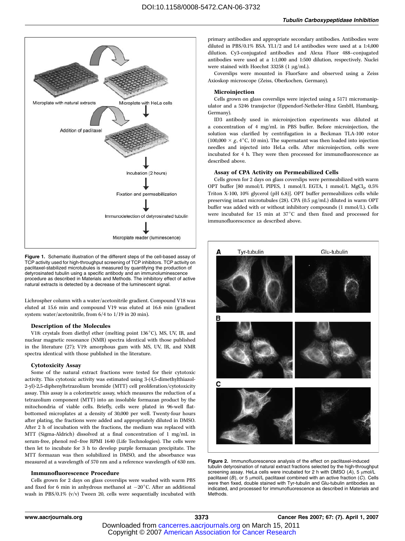

Figure 1. Schematic illustration of the different steps of the cell-based assay of TCP activity used for high-throughput screening of TCP inhibitors. TCP activity on paclitaxel-stabilized microtubules is measured by quantifying the production of detyrosinated tubulin using a specific antibody and an immunoluminescence procedure as described in Materials and Methods. The inhibitory effect of active natural extracts is detected by a decrease of the luminescent signal.

Lichrospher column with a water/acetonitrile gradient. Compound V18 was eluted at 15.6 min and compound V19 was eluted at 16.6 min (gradient system: water/acetonitrile, from 6/4 to 1/19 in 20 min).

#### Description of the Molecules

V18: crystals from diethyl ether (melting point 136°C), MS, UV, IR, and nuclear magnetic resonance (NMR) spectra identical with those published in the literature (27); V19: amorphous gum with MS, UV, IR, and NMR spectra identical with those published in the literature.

#### Cytotoxicity Assay

Some of the natural extract fractions were tested for their cytotoxic activity. This cytotoxic activity was estimated using 3-(4,5-dimethylthiazol-2-yl)-2,5-diphenyltetrazolium bromide (MTT) cell proliferation/cytotoxicity assay. This assay is a colorimetric assay, which measures the reduction of a tetrazolium component (MTT) into an insoluble formazan product by the mitochondria of viable cells. Briefly, cells were plated in 96-well flatbottomed microplates at a density of 30,000 per well. Twenty-four hours after plating, the fractions were added and appropriately diluted in DMSO. After 2 h of incubation with the fractions, the medium was replaced with MTT (Sigma-Aldrich) dissolved at a final concentration of 1 mg/mL in serum-free, phenol red–free RPMI 1640 (Life Technologies). The cells were then let to incubate for 3 h to develop purple formazan precipitate. The MTT formazan was then solubilized in DMSO, and the absorbance was measured at a wavelength of 570 nm and a reference wavelength of 630 nm.

#### Immunofluorescence Procedure

Cells grown for 2 days on glass coverslips were washed with warm PBS and fixed for 6 min in anhydrous methanol at  $-20^{\circ}$ C. After an additional wash in PBS/0.1% (v/v) Tween 20, cells were sequentially incubated with primary antibodies and appropriate secondary antibodies. Antibodies were diluted in PBS/0.1% BSA. YL1/2 and L4 antibodies were used at a 1:4,000 dilution. Cy3-conjugated antibodies and Alexa Fluor 488–conjugated antibodies were used at a 1:1,000 and 1:500 dilution, respectively. Nuclei were stained with Hoechst 33258 (1  $\mu$ g/mL).

Coverslips were mounted in FluorSave and observed using a Zeiss Axioskop microscope (Zeiss, Oberkochen, Germany).

#### Microinjection

Cells grown on glass coverslips were injected using a 5171 micromanipulator and a 5246 transjector (Eppendorf-Netheler-Hinz GmbH, Hamburg, Germany).

ID3 antibody used in microinjection experiments was diluted at a concentration of 4 mg/mL in PBS buffer. Before microinjection, the solution was clarified by centrifugation in a Beckman TLA-100 rotor (100,000  $\times$  g, 4 $\degree$ C, 10 min). The supernatant was then loaded into injection needles and injected into HeLa cells. After microinjection, cells were incubated for 4 h. They were then processed for immunofluorescence as described above.

#### Assay of CPA Activity on Permeabilized Cells

Cells grown for 2 days on glass coverslips were permeabilized with warm OPT buffer [80 mmol/L PIPES, 1 mmol/L EGTA, 1 mmol/L MgCl<sub>2</sub>, 0.5% Triton X-100, 10% glycerol (pH 6.8)]. OPT buffer permeabilizes cells while preserving intact microtubules (28). CPA (0.5  $\mu$ g/mL) diluted in warm OPT buffer was added with or without inhibitory compounds (1 mmol/L). Cells were incubated for 15 min at  $37^{\circ}$ C and then fixed and processed for immunofluorescence as described above.



Figure 2. Immunofluorescence analysis of the effect on paclitaxel-induced tubulin detyrosination of natural extract fractions selected by the high-throughput screening assay. HeLa cells were incubated for 2 h with DMSO  $(A)$ , 5  $\mu$ mol/L paclitaxel (B), or 5  $\mu$ mol/L paclitaxel combined with an active fraction (C). Cells were then fixed, double stained with Tyr-tubulin and Glu-tubulin antibodies as indicated, and processed for immunofluorescence as described in Materials and Methods.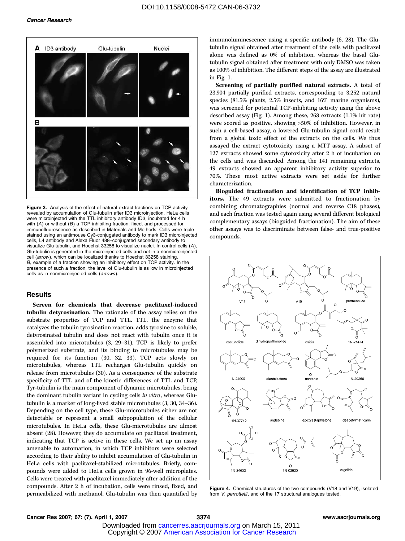

Figure 3. Analysis of the effect of natural extract fractions on TCP activity revealed by accumulation of Glu-tubulin after ID3 microinjection. HeLa cells were microinjected with the TTL inhibitory antibody ID3, incubated for 4 h with (A) or without (B) a TCP-inhibiting fraction, fixed, and processed for immunofluorescence as described in Materials and Methods. Cells were triple stained using an antimouse Cy3-conjugated antibody to mark ID3 microinjected cells, L4 antibody and Alexa Fluor 488–conjugated secondary antibody to visualize Glu-tubulin, and Hoechst 33258 to visualize nuclei. In control cells (A), Glu-tubulin is generated in the microinjected cells and not in a nonmicroinjected cell (arrow), which can be localized thanks to Hoechst 33258 staining. B, example of a fraction showing an inhibitory effect on TCP activity. In the presence of such a fraction, the level of Glu-tubulin is as low in microinjected cells as in nonmicroinjected cells (arrows).

#### **Results**

Screen for chemicals that decrease paclitaxel-induced tubulin detyrosination. The rationale of the assay relies on the substrate properties of TCP and TTL. TTL, the enzyme that catalyzes the tubulin tyrosination reaction, adds tyrosine to soluble, detyrosinated tubulin and does not react with tubulin once it is assembled into microtubules (3, 29–31). TCP is likely to prefer polymerized substrate, and its binding to microtubules may be required for its function (30, 32, 33). TCP acts slowly on microtubules, whereas TTL recharges Glu-tubulin quickly on release from microtubules (30). As a consequence of the substrate specificity of TTL and of the kinetic differences of TTL and TCP, Tyr-tubulin is the main component of dynamic microtubules, being the dominant tubulin variant in cycling cells in vitro, whereas Glutubulin is a marker of long-lived stable microtubules (3, 30, 34–36). Depending on the cell type, these Glu-microtubules either are not detectable or represent a small subpopulation of the cellular microtubules. In HeLa cells, these Glu-microtubules are almost absent (28). However, they do accumulate on paclitaxel treatment, indicating that TCP is active in these cells. We set up an assay amenable to automation, in which TCP inhibitors were selected according to their ability to inhibit accumulation of Glu-tubulin in HeLa cells with paclitaxel-stabilized microtubules. Briefly, compounds were added to HeLa cells grown in 96-well microplates. Cells were treated with paclitaxel immediately after addition of the compounds. After 2 h of incubation, cells were rinsed, fixed, and permeabilized with methanol. Glu-tubulin was then quantified by immunoluminescence using a specific antibody (6, 28). The Glutubulin signal obtained after treatment of the cells with paclitaxel alone was defined as 0% of inhibition, whereas the basal Glutubulin signal obtained after treatment with only DMSO was taken as 100% of inhibition. The different steps of the assay are illustrated in Fig. 1.

Screening of partially purified natural extracts. A total of 23,904 partially purified extracts, corresponding to 3,252 natural species (81.5% plants, 2.5% insects, and 16% marine organisms), was screened for potential TCP-inhibiting activity using the above described assay (Fig. 1). Among these, 268 extracts (1.1% hit rate) were scored as positive, showing >50% of inhibition. However, in such a cell-based assay, a lowered Glu-tubulin signal could result from a global toxic effect of the extracts on the cells. We thus assayed the extract cytotoxicity using a MTT assay. A subset of 127 extracts showed some cytotoxicity after 2 h of incubation on the cells and was discarded. Among the 141 remaining extracts, 49 extracts showed an apparent inhibitory activity superior to 70%. These most active extracts were set aside for further characterization.

Bioguided fractionation and identification of TCP inhibitors. The 49 extracts were submitted to fractionation by combining chromatographies (normal and reverse C18 phases), and each fraction was tested again using several different biological complementary assays (bioguided fractionation). The aim of these other assays was to discriminate between false- and true-positive compounds.



Figure 4. Chemical structures of the two compounds (V18 and V19), isolated from *V. perrottetii*, and of the 17 structural analogues tested.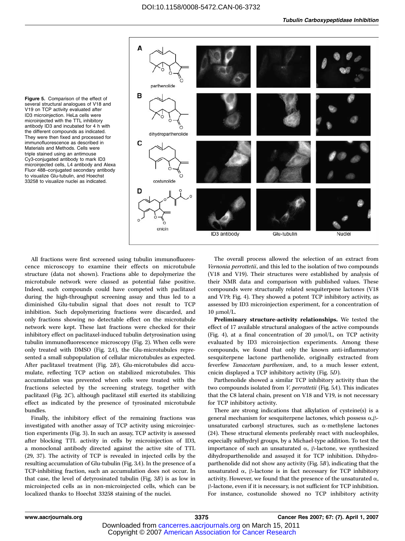



All fractions were first screened using tubulin immunofluorescence microscopy to examine their effects on microtubule structure (data not shown). Fractions able to depolymerize the microtubule network were classed as potential false positive. Indeed, such compounds could have competed with paclitaxel during the high-throughput screening assay and thus led to a diminished Glu-tubulin signal that does not result to TCP inhibition. Such depolymerizing fractions were discarded, and only fractions showing no detectable effect on the microtubule network were kept. These last fractions were checked for their inhibitory effect on paclitaxel-induced tubulin detyrosination using tubulin immunofluorescence microscopy (Fig. 2). When cells were only treated with DMSO (Fig. 2A), the Glu-microtubules represented a small subpopulation of cellular microtubules as expected. After paclitaxel treatment (Fig. 2B), Glu-microtubules did accumulate, reflecting TCP action on stabilized microtubules. This accumulation was prevented when cells were treated with the fractions selected by the screening strategy, together with paclitaxel (Fig. 2C), although paclitaxel still exerted its stabilizing effect as indicated by the presence of tyrosinated microtubule bundles.

Finally, the inhibitory effect of the remaining fractions was investigated with another assay of TCP activity using microinjection experiments (Fig. 3). In such an assay, TCP activity is assessed after blocking TTL activity in cells by microinjection of ID3, a monoclonal antibody directed against the active site of TTL (29, 37). The activity of TCP is revealed in injected cells by the resulting accumulation of Glu-tubulin (Fig. 3A). In the presence of a TCP-inhibiting fraction, such an accumulation does not occur. In that case, the level of detyrosinated tubulin (Fig. 3B) is as low in microinjected cells as in non-microinjected cells, which can be localized thanks to Hoechst 33258 staining of the nuclei.

The overall process allowed the selection of an extract from Vernonia perrottetii, and this led to the isolation of two compounds (V18 and V19). Their structures were established by analysis of their NMR data and comparison with published values. These compounds were structurally related sesquiterpene lactones (V18 and V19; Fig. 4). They showed a potent TCP inhibitory activity, as assessed by ID3 microinjection experiment, for a concentration of  $10 \mu$ mol/L.

Preliminary structure-activity relationships. We tested the effect of 17 available structural analogues of the active compounds (Fig. 4), at a final concentration of 20  $\mu$ mol/L, on TCP activity evaluated by ID3 microinjection experiments. Among these compounds, we found that only the known anti-inflammatory sesquiterpene lactone parthenolide, originally extracted from feverfew Tanacetum parthenium, and, to a much lesser extent, cnicin displayed a TCP inhibitory activity (Fig. 5D).

Parthenolide showed a similar TCP inhibitory activity than the two compounds isolated from *V. perrottetii* (Fig. 5A). This indicates that the C8 lateral chain, present on V18 and V19, is not necessary for TCP inhibitory activity.

There are strong indications that alkylation of cysteine(s) is a general mechanism for sesquiterpene lactones, which possess  $\alpha, \beta$ unsaturated carbonyl structures, such as  $\alpha$ -methylene lactones (24). These structural elements preferably react with nucleophiles, especially sulfhydryl groups, by a Michael-type addition. To test the importance of such an unsaturated  $\alpha$ ,  $\beta$ -lactone, we synthesized dihydroparthenolide and assayed it for TCP inhibition. Dihydroparthenolide did not show any activity (Fig. 5B), indicating that the unsaturated  $\alpha$ ,  $\beta$ -lactone is in fact necessary for TCP inhibitory activity. However, we found that the presence of the unsaturated  $\alpha$ ,  $\beta$ -lactone, even if it is necessary, is not sufficient for TCP inhibition. For instance, costunolide showed no TCP inhibitory activity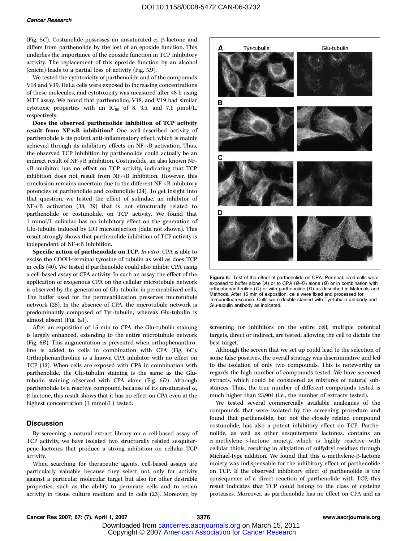(Fig. 5C). Costunolide possesses an unsaturated  $\alpha$ ,  $\beta$ -lactone and differs from parthenolide by the lost of an epoxide function. This underlies the importance of the epoxide function in TCP inhibitory activity. The replacement of this epoxide function by an alcohol (cnicin) leads to a partial loss of activity (Fig. 5D).

We tested the cytotoxicity of parthenolide and of the compounds V18 and V19. HeLa cells were exposed to increasing concentrations of these molecules, and cytotoxicity was measured after 48 h using MTT assay. We found that parthenolide, V18, and V19 had similar cytotoxic properties with an IC<sub>50</sub> of 8, 3.5, and 7.1  $\mu$ mol/L, respectively.

Does the observed parthenolide inhibition of TCP activity result from NF-KB inhibition? One well-described activity of parthenolide is its potent anti-inflammatory effect, which is mainly achieved through its inhibitory effects on NF-KB activation. Thus, the observed TCP inhibition by parthenolide could actually be an indirect result of NF-KB inhibition. Costunolide, an also known NF- $\kappa$ B inhibitor, has no effect on TCP activity, indicating that TCP inhibition does not result from NF-KB inhibition. However, this conclusion remains uncertain due to the different NF- $\kappa$ B inhibitory potencies of parthenolide and costunolide (24). To get insight into that question, we tested the effect of sulindac, an inhibitor of NF- $\kappa$ B activation (38, 39) that is not structurally related to parthenolide or costunolide, on TCP activity. We found that 1 mmol/L sulindac has no inhibitory effect on the generation of Glu-tubulin induced by ID3 microinjection (data not shown). This result strongly shows that parthenolide inhibition of TCP activity is independent of NF- $\kappa$ B inhibition.

Specific action of parthenolide on TCP. In vitro, CPA is able to excise the COOH-terminal tyrosine of tubulin as well as does TCP in cells (40). We tested if parthenolide could also inhibit CPA using a cell-based assay of CPA activity. In such an assay, the effect of the application of exogenous CPA on the cellular microtubule network is observed by the generation of Glu-tubulin in permeabilized cells. The buffer used for the permeabilization preserves microtubule network (28). In the absence of CPA, the microtubule network is predominantly composed of Tyr-tubulin, whereas Glu-tubulin is almost absent (Fig. 6A).

After an exposition of 15 min to CPA, the Glu-tubulin staining is largely enhanced, extending to the entire microtubule network (Fig. 6B). This augmentation is prevented when orthophenanthroline is added to cells in combination with CPA (Fig. 6C). Orthophenanthroline is a known CPA inhibitor with no effect on TCP (12). When cells are exposed with CPA in combination with parthenolide, the Glu-tubulin staining is the same as the Glutubulin staining observed with CPA alone (Fig. 6D). Although parthenolide is a reactive compound because of its unsaturated  $\alpha$ , h-lactone, this result shows that it has no effect on CPA even at the highest concentration (1 mmol/L) tested.

#### **Discussion**

By screening a natural extract library on a cell-based assay of TCP activity, we have isolated two structurally related sesquiterpene lactones that produce a strong inhibition on cellular TCP activity.

When searching for therapeutic agents, cell-based assays are particularly valuable because they select not only for activity against a particular molecular target but also for other desirable properties, such as the ability to permeate cells and to retain activity in tissue culture medium and in cells (23). Moreover, by



Figure 6. Test of the effect of parthenolide on CPA. Permeabilized cells were exposed to buffer alone  $(A)$  or to CPA  $(B-D)$  alone  $(B)$  or in combination with orthophenanthroline  $(C)$  or with parthenolide  $(D)$  as described in Materials and Methods. After 15 min of exposition, cells were fixed and processed for immunofluorescence. Cells were double stained with Tyr-tubulin antibody and Glu-tubulin antibody as indicated.

screening for inhibitors on the entire cell, multiple potential targets, direct or indirect, are tested, allowing the cell to dictate the best target.

Although the screen that we set up could lead to the selection of some false positives, the overall strategy was discriminative and led to the isolation of only two compounds. This is noteworthy as regards the high number of compounds tested. We have screened extracts, which could be considered as mixtures of natural substances. Thus, the true number of different compounds tested is much higher than 23,904 (i.e., the number of extracts tested).

We tested several commercially available analogues of the compounds that were isolated by the screening procedure and found that parthenolide, but not the closely related compound costunolide, has also a potent inhibitory effect on TCP. Parthenolide, as well as other sesquiterpene lactones, contains an  $\alpha$ -methylene- $\beta$ -lactone moiety, which is highly reactive with cellular thiols, resulting in alkylation of sulfydryl residues through Michael-type addition. We found that this  $\alpha$ -methylene- $\beta$ -lactone moiety was indispensable for the inhibitory effect of parthenolide on TCP. If the observed inhibitory effect of parthenolide is the consequence of a direct reaction of parthenolide with TCP, this result indicates that TCP could belong to the class of cysteine proteases. Moreover, as parthenolide has no effect on CPA and as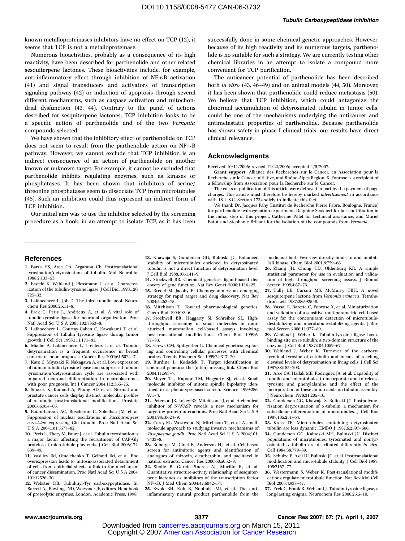known metalloproteinases inhibitors have no effect on TCP (12), it seems that TCP is not a metalloproteinase.

Numerous bioactivities, probably as a consequence of its high reactivity, have been described for parthenolide and other related sesquiterpene lactones. These bioactivities include, for example, anti-inflammatory effect through inhibition of NF-KB activation (41) and signal transducers and activators of transcription signaling pathway (42) or induction of apoptosis through several different mechanisms, such as caspase activation and mitochondrial dysfunction (43, 44). Contrary to the panel of actions described for sesquiterpene lactones, TCP inhibition looks to be a specific action of parthenolide and of the two Vernonia compounds selected.

We have shown that the inhibitory effect of parthenolide on TCP does not seem to result from the parthenolide action on NF-KB pathway. However, we cannot exclude that TCP inhibition is an indirect consequence of an action of parthenolide on another known or unknown target. For example, it cannot be excluded that parthenolide inhibits regulating enzymes, such as kinases or phosphatases. It has been shown that inhibitors of serine/ threonine phosphatases seem to dissociate TCP from microtubules (45). Such an inhibition could thus represent an indirect form of TCP inhibition.

Our initial aim was to use the inhibitor selected by the screening procedure as a hook, in an attempt to isolate TCP, as it has been successfully done in some chemical genetic approaches. However, because of its high reactivity and its numerous targets, parthenolide is no suitable for such a strategy. We are currently testing other chemical libraries in an attempt to isolate a compound more convenient for TCP purification.

The anticancer potential of parthenolide has been described both in vitro (43, 46–49) and on animal models (44, 50). Moreover, it has been shown that parthenolide could reduce metastasis (50). We believe that TCP inhibition, which could antagonize the abnormal accumulation of detyrosinated tubulin in tumor cells, could be one of the mechanisms underlying the anticancer and antimetastatic properties of parthenolide. Because parthenolide has shown safety in phase I clinical trials, our results have direct clinical relevance.

#### Acknowledgments

Received 10/11/2006; revised 12/22/2006; accepted 1/5/2007.

Grant support: Alliance des Recherches sur le Cancer, an Association pour la Recherche sur le Cancer initiative, and Rhône-Alpes Region. X. Fonrose is a recipient of a fellowship from Association pour la Recherche sur le Cancer.

The costs of publication of this article were defrayed in part by the payment of page charges. This article must therefore be hereby marked advertisement in accordance with 18 U.S.C. Section 1734 solely to indicate this fact.

We thank Dr. Jacques Fahy (Institut de Recherche Pierre Fabre, Boulogne, France) for parthenolide hydrogenation experiment, Delphine Scokaert for her contribution in the initial step of this project, Catherine Pillet for technical assistance, and Muriel Batut and Stephanie Brillant for the isolation of the compounds from Vernonia.

#### References

- 1. Barra HS, Arce CA, Argarana CE. Posttranslational tyrosination/detyrosination of tubulin. Mol Neurobiol 1988;2:133–53.
- 2. Ersfeld K, Wehland J, Plessmann U, et al. Characterization of the tubulin-tyrosine ligase. J Cell Biol 1993;120: 725–32.
- 3. Lafanechere L, Job D. The third tubulin pool. Neurochem Res 2000;25:11–8.
- 4. Erck C, Peris L, Andrieux A, et al. A vital role of tubulin-tyrosine-ligase for neuronal organization. Proc Natl Acad Sci U S A 2005;102:7853–8.
- 5. Lafanechere L, Courtay-Cahen C, Kawakami T, et al. Suppression of tubulin tyrosine ligase during tumor growth. J Cell Sci 1998;111:171–81.
- 6. Mialhe A, Lafanechere L, Treilleux I, et al. Tubulin detyrosination is a frequent occurrence in breast cancers of poor prognosis. Cancer Res 2001;61:5024–7.
- 7. Kato C, Miyazaki K, Nakagawa A, et al. Low expression of human tubulin tyrosine ligase and suppressed tubulin tyrosination/detyrosination cycle are associated with impaired neuronal differentiation in neuroblastomas with poor prognosis. Int J Cancer 2004;112:365–75.
- 8. Soucek K, Kamaid A, Phung AD et al. Normal and prostate cancer cells display distinct molecular profiles of  $\alpha$ -tubulin posttranslational modifications. Prostate 2006;66:954–65.
- 9. Badin-Larcon AC, Boscheron C, Soleilhac JM, et al. Suppression of nuclear oscillations in Saccharomyces cerevisiae expressing Glu tubulin. Proc Natl Acad Sci U S A 2004;101:5577–82.
- 10. Peris L. Thery M. Faure I, et al. Tubulin tyrosination is a major factor affecting the recruitment of CAP-Gly proteins at microtubule plus ends. J Cell Biol 2006;174: 839–49.
- 11. Vasiliev JM, Omelchenko T, Gelfand IM, et al. Rho overexpression leads to mitosis-associated detachment of cells from epithelial sheets: a link to the mechanism of cancer dissemination. Proc Natl Acad Sci U S A 2004; 101:12526–30.
- 12. Webster DR. Tubulinyl-Tyr carboxypeptidase. In: Barrett AJ, Rawlings ND, Woessner JF, editors. Handbook of proteolytic enzymes. London: Academic Press; 1998.

13. Khawaja S, Gundersen GG, Bulinski JC. Enhanced stability of microtubules enriched in detyrosinated tubulin is not a direct function of detyrosination level. J Cell Biol 1988;106:141–9.

- 14. Stockwell BR. Chemical genetics: ligand-based discovery of gene function. Nat Rev Genet 2000;1:116–25.
- 15. Bredel M, Jacoby E. Chemogenomics: an emerging strategy for rapid target and drug discovery. Nat Rev 2004;5:262–75.
- 16. Mitchison T. Toward pharmacological genetics. Chem Biol 1994;1:3–6.
- 17. Stockwell BR, Haggarty SJ, Schreiber SL. Highthroughput screening of small molecules in miniaturized mammalian cell-based assays involving post-translational modifications. Chem Biol 1999;6: 71–83.
- 18. Crews CM, Spittgerber U. Chemical genetics: exploring and controlling cellular processes with chemical probes. Trends Biochem Sci 1999;24:317–20.
- 19. Burdine L, Kodadek T. Target identification in
- chemical genetics: the (often) missing link. Chem Biol 2004;11:593–7.
- 20. Mayer TU, Kapoor TM, Haggarty SJ, et al. Small molecule inhibitor of mitotic spindle bipolarity identified in a phenotype-based screen. Science 1999;286: 971–4.
- 21. Peterson JR, Lokey RS, Mitchison TJ, et al. A chemical inhibitor of N-WASP reveals a new mechanism for targeting protein interactions. Proc Natl Acad Sci U S A 2001;98:10624–9.
- 22. Carey KL, Westwood NJ, Mitchison TJ, et al. A smallmolecule approach to studying invasive mechanisms of Toxoplasma gondii. Proc Natl Acad Sci U S A 2004;101: 7433–8.
- 23. Roberge M, Cinel B, Anderson HJ, et al. Cell-based screen for antimitotic agents and identification of analogues of rhizoxin, eleutherobin, and paclitaxel in natural extracts. Cancer Res 2000;60:5052–8.
- 24. Siedle B, Garcia-Pineres AJ, Murillo R, et al. Quantitative structure-activity relationship of sesquiterpene lactones as inhibitors of the transcription factor NF-nB. J Med Chem 2004;47:6042–54.

25. Kwok BH, Koh B, Ndubuisi MI, et al. The antiinflammatory natural product parthenolide from the medicinal herb Feverfew directly binds to and inhibits InB kinase. Chem Biol 2001;8:759–66.

- 26. Zhang JH, Chung TD, Oldenburg KR. A simple statistical parameter for use in evaluation and validation of high throughput screening assays. J Biomol Screen 1999;4:67–73.
- 27. Tully LE, Carson MS, McMurry TBH. A novel sesquiterpene lactone from Vernonia erinacea. Tetrahedron Lett 1987;28:5925–8.
- 28. Vassal E, Barette C, Fonrose X, et al. Miniaturization and validation of a sensitive multiparametric cell-based assay for the concomitant detection of microtubuledestabilizing and microtubule-stabilizing agents. J Biomol Screen 2006;11:377–89.
- 29. Wehland J, Weber K. Tubulin-tyrosine ligase has a binding site on  $\beta$ -tubulin: a two-domain structure of the enzyme. J Cell Biol 1987;104:1059–67.
- 30. Wehland J, Weber K. Turnover of the carboxyterminal tyrosine of  $\alpha$ -tubulin and means of reaching elevated levels of detyrosination in living cells. J Cell Sci 1987;88:185–203.
- 31. Arce CA, Hallak ME, Rodriguez JA, et al. Capability of tubulin and microtubules to incorporate and to release tyrosine and phenylalanine and the effect of the incorporation of these amino acids on tubulin assembly. J Neurochem 1978;31:205–10.
- 32. Gundersen GG, Khawaja S, Bulinski JC. Postpolymerization detyrosination of  $\alpha$ -tubulin: a mechanism for subcellular differentiation of microtubules. J Cell Biol 1987;105:251–64.
- 33. Kreis TE. Microtubules containing detyrosinated tubulin are less dynamic. EMBO J 1987;6:2597–606.
- 34. Gundersen GG, Kalnoski MH, Bulinski JC. Distinct populations of microtubules: tyrosinated and nontyr- $\alpha$  tubulin are distributed differently in vivo. Cell 1984;38:779–89.
- 35. Schulze E, Asai DJ, Bulinski JC, et al. Posttranslational modification and microtubule stability. J Cell Biol 1987; 105:2167–77.
- 36. Westermann S, Weber K. Post-translational modifications regulate microtubule function. Nat Rev Mol Cell Biol 2003;4:938–47.

37. Erck C, Frank R, Wehland J. Tubulin-tyrosine ligase, a long-lasting enigma. Neurochem Res 2000;25:5–10.

 Copyright © 2007 American Association for Cancer Research Downloaded from c[ancerres.aacrjournals.org on March 15, 2011](http://www.aacr.org/)